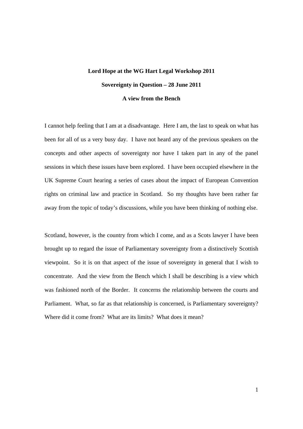## **Lord Hope at the WG Hart Legal Workshop 2011 Sovereignty in Question – 28 June 2011 A view from the Bench**

I cannot help feeling that I am at a disadvantage. Here I am, the last to speak on what has been for all of us a very busy day. I have not heard any of the previous speakers on the concepts and other aspects of sovereignty nor have I taken part in any of the panel sessions in which these issues have been explored. I have been occupied elsewhere in the UK Supreme Court hearing a series of cases about the impact of European Convention rights on criminal law and practice in Scotland. So my thoughts have been rather far away from the topic of today's discussions, while you have been thinking of nothing else.

Scotland, however, is the country from which I come, and as a Scots lawyer I have been brought up to regard the issue of Parliamentary sovereignty from a distinctively Scottish viewpoint. So it is on that aspect of the issue of sovereignty in general that I wish to concentrate. And the view from the Bench which I shall be describing is a view which was fashioned north of the Border. It concerns the relationship between the courts and Parliament. What, so far as that relationship is concerned, is Parliamentary sovereignty? Where did it come from? What are its limits? What does it mean?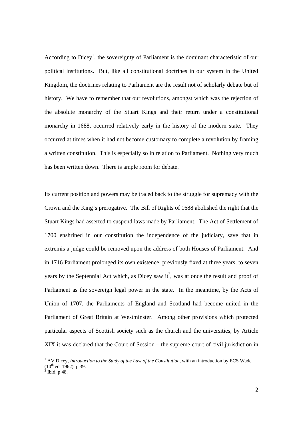According to Dicey<sup>1</sup>, the sovereignty of Parliament is the dominant characteristic of our political institutions. But, like all constitutional doctrines in our system in the United Kingdom, the doctrines relating to Parliament are the result not of scholarly debate but of history. We have to remember that our revolutions, amongst which was the rejection of the absolute monarchy of the Stuart Kings and their return under a constitutional monarchy in 1688, occurred relatively early in the history of the modern state. They occurred at times when it had not become customary to complete a revolution by framing a written constitution. This is especially so in relation to Parliament. Nothing very much has been written down. There is ample room for debate.

Its current position and powers may be traced back to the struggle for supremacy with the Crown and the King's prerogative. The Bill of Rights of 1688 abolished the right that the Stuart Kings had asserted to suspend laws made by Parliament. The Act of Settlement of 1700 enshrined in our constitution the independence of the judiciary, save that in extremis a judge could be removed upon the address of both Houses of Parliament. And in 1716 Parliament prolonged its own existence, previously fixed at three years, to seven years by the Septennial Act which, as Dicey saw  $it^2$ , was at once the result and proof of Parliament as the sovereign legal power in the state. In the meantime, by the Acts of Union of 1707, the Parliaments of England and Scotland had become united in the Parliament of Great Britain at Westminster. Among other provisions which protected particular aspects of Scottish society such as the church and the universities, by Article XIX it was declared that the Court of Session – the supreme court of civil jurisdiction in

<sup>&</sup>lt;sup>1</sup> AV Dicey, *Introduction to the Study of the Law of the Constitution*, with an introduction by ECS Wade  $(10^{th}$  ed, 1962), p 39.

 $\frac{1}{2}$  Ibid, p 48.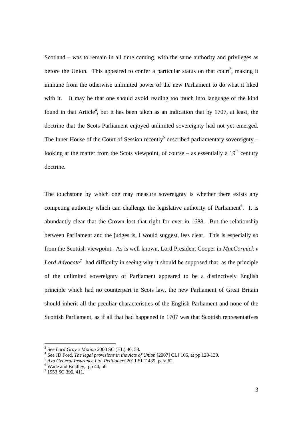Scotland – was to remain in all time coming, with the same authority and privileges as before the Union. This appeared to confer a particular status on that court<sup>3</sup>, making it immune from the otherwise unlimited power of the new Parliament to do what it liked with it. It may be that one should avoid reading too much into language of the kind found in that Article<sup>4</sup>, but it has been taken as an indication that by 1707, at least, the doctrine that the Scots Parliament enjoyed unlimited sovereignty had not yet emerged. The Inner House of the Court of Session recently<sup>5</sup> described parliamentary sovereignty  $$ looking at the matter from the Scots viewpoint, of course – as essentially a  $19<sup>th</sup>$  century doctrine.

The touchstone by which one may measure sovereignty is whether there exists any competing authority which can challenge the legislative authority of Parliament<sup>6</sup>. It is abundantly clear that the Crown lost that right for ever in 1688. But the relationship between Parliament and the judges is, I would suggest, less clear. This is especially so from the Scottish viewpoint. As is well known, Lord President Cooper in *MacCormick v*  Lord Advocate<sup>7</sup> had difficulty in seeing why it should be supposed that, as the principle of the unlimited sovereignty of Parliament appeared to be a distinctively English principle which had no counterpart in Scots law, the new Parliament of Great Britain should inherit all the peculiar characteristics of the English Parliament and none of the Scottish Parliament, as if all that had happened in 1707 was that Scottish representatives

<sup>&</sup>lt;sup>3</sup> See Lord Gray's Motion 2000 SC (HL) 46, 58.

See *Lord Gray's motion 2000 SC* (H<sub>L</sub>), 15, 201.<br><sup>4</sup> See JD Ford, *The legal provisions in the Acts of Union* [2007] CLJ 106, at pp 128-139.

See JD Ford, *The legal provisions in the Acts of Union* [2007] CLJ 106, at pp 128-139. 5 *Axa General Insurance Ltd, Petitioners* 2011 SLT 439, para 62. 6

Wade and Bradley, pp 44, 50

 $7$  1953 SC 396, 411.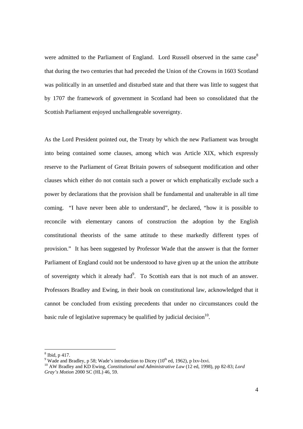were admitted to the Parliament of England. Lord Russell observed in the same case<sup>8</sup> that during the two centuries that had preceded the Union of the Crowns in 1603 Scotland was politically in an unsettled and disturbed state and that there was little to suggest that by 1707 the framework of government in Scotland had been so consolidated that the Scottish Parliament enjoyed unchallengeable sovereignty.

As the Lord President pointed out, the Treaty by which the new Parliament was brought into being contained some clauses, among which was Article XIX, which expressly reserve to the Parliament of Great Britain powers of subsequent modification and other clauses which either do not contain such a power or which emphatically exclude such a power by declarations that the provision shall be fundamental and unalterable in all time coming. "I have never been able to understand", he declared, "how it is possible to reconcile with elementary canons of construction the adoption by the English constitutional theorists of the same attitude to these markedly different types of provision." It has been suggested by Professor Wade that the answer is that the former Parliament of England could not be understood to have given up at the union the attribute of sovereignty which it already had $9$ . To Scottish ears that is not much of an answer. Professors Bradley and Ewing, in their book on constitutional law, acknowledged that it cannot be concluded from existing precedents that under no circumstances could the basic rule of legislative supremacy be qualified by judicial decision<sup>10</sup>.

<sup>8</sup> Ibid, p 417.

<sup>&</sup>lt;sup>9</sup> Wade and Bradley, p 58; Wade's introduction to Dicey ( $10^{th}$  ed, 1962), p lxv-lxvi.

<sup>&</sup>lt;sup>10</sup> AW Bradley and KD Ewing, *Constitutional and Administrative Law* (12 ed, 1998), pp 82-83; *Lord Gray's Motion* 2000 SC (HL) 46, 59.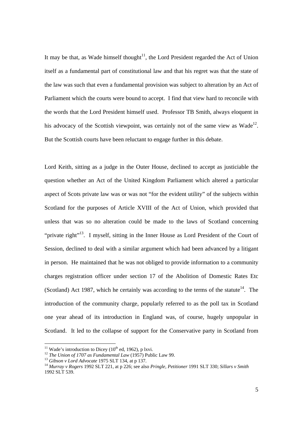It may be that, as Wade himself thought<sup>11</sup>, the Lord President regarded the Act of Union itself as a fundamental part of constitutional law and that his regret was that the state of the law was such that even a fundamental provision was subject to alteration by an Act of Parliament which the courts were bound to accept. I find that view hard to reconcile with the words that the Lord President himself used. Professor TB Smith, always eloquent in his advocacy of the Scottish viewpoint, was certainly not of the same view as Wade<sup>12</sup>. But the Scottish courts have been reluctant to engage further in this debate.

Lord Keith, sitting as a judge in the Outer House, declined to accept as justiciable the question whether an Act of the United Kingdom Parliament which altered a particular aspect of Scots private law was or was not "for the evident utility" of the subjects within Scotland for the purposes of Article XVIII of the Act of Union, which provided that unless that was so no alteration could be made to the laws of Scotland concerning "private right"<sup>13</sup>. I myself, sitting in the Inner House as Lord President of the Court of Session, declined to deal with a similar argument which had been advanced by a litigant in person. He maintained that he was not obliged to provide information to a community charges registration officer under section 17 of the Abolition of Domestic Rates Etc (Scotland) Act 1987, which he certainly was according to the terms of the statute<sup>14</sup>. The introduction of the community charge, popularly referred to as the poll tax in Scotland one year ahead of its introduction in England was, of course, hugely unpopular in Scotland. It led to the collapse of support for the Conservative party in Scotland from

<sup>&</sup>lt;sup>11</sup> Wade's introduction to Dicey ( $10^{th}$  ed, 1962), p lxvi.

<sup>&</sup>lt;sup>12</sup> The Union of 1707 as Fundamental Law (1957) Public Law 99.<br><sup>13</sup> Gibson v Lord Advocate 1975 SLT 134, at p 137.<br><sup>14</sup> Murray v Rogers 1992 SLT 221, at p 226; see also Pringle, Petitioner 1991 SLT 330; Sillars v Smith 1992 SLT 539.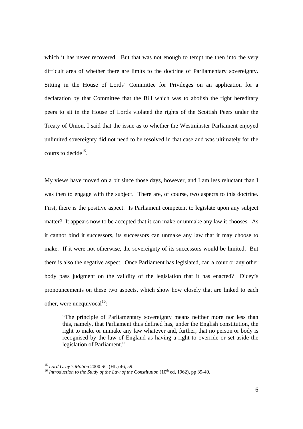which it has never recovered. But that was not enough to tempt me then into the very difficult area of whether there are limits to the doctrine of Parliamentary sovereignty. Sitting in the House of Lords' Committee for Privileges on an application for a declaration by that Committee that the Bill which was to abolish the right hereditary peers to sit in the House of Lords violated the rights of the Scottish Peers under the Treaty of Union, I said that the issue as to whether the Westminster Parliament enjoyed unlimited sovereignty did not need to be resolved in that case and was ultimately for the courts to decide<sup>15</sup>.

My views have moved on a bit since those days, however, and I am less reluctant than I was then to engage with the subject. There are, of course, two aspects to this doctrine. First, there is the positive aspect. Is Parliament competent to legislate upon any subject matter? It appears now to be accepted that it can make or unmake any law it chooses. As it cannot bind it successors, its successors can unmake any law that it may choose to make. If it were not otherwise, the sovereignty of its successors would be limited. But there is also the negative aspect. Once Parliament has legislated, can a court or any other body pass judgment on the validity of the legislation that it has enacted? Dicey's pronouncements on these two aspects, which show how closely that are linked to each other, were unequivocal $^{16}$ :

"The principle of Parliamentary sovereignty means neither more nor less than this, namely, that Parliament thus defined has, under the English constitution, the right to make or unmake any law whatever and, further, that no person or body is recognised by the law of England as having a right to override or set aside the legislation of Parliament."

 $15$  Lord Gray's Motion 2000 SC (HL) 46, 59.

<sup>&</sup>lt;sup>16</sup> *Introduction to the Study of the Law of the Constitution* (10<sup>th</sup> ed, 1962), pp 39-40.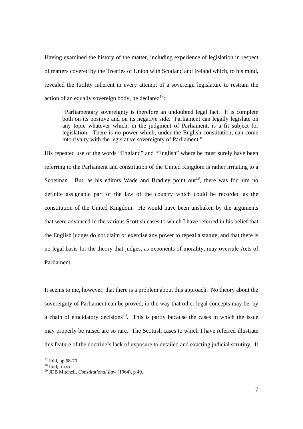Having examined the history of the matter, including experience of legislation in respect of matters covered by the Treaties of Union with Scotland and Ireland which, to his mind, revealed the futility inherent in every attempt of a sovereign legislature to restrain the action of an equally sovereign body, he declared $17$ :

"Parliamentary sovereignty is therefore an undoubted legal fact. It is complete both on its positive and on its negative side. Parliament can legally legislate on any topic whatever which, in the judgment of Parliament, is a fit subject for legislation. There is no power which, under the English constitution, can come into rivalry with the legislative sovereignty of Parliament."

His repeated use of the words "England" and "English" where he must surely have been referring to the Parliament and constitution of the United Kingdom is rather irritating to a Scotsman. But, as his editors Wade and Bradley point out<sup>18</sup>, there was for him no definite assignable part of the law of the country which could be recorded as the constitution of the United Kingdom. He would have been unshaken by the arguments that were advanced in the various Scottish cases to which I have referred in his belief that the English judges do not claim or exercise any power to repeal a statute, and that there is no legal basis for the theory that judges, as exponents of morality, may overrule Acts of Parliament.

It seems to me, however, that there is a problem about this approach. No theory about the sovereignty of Parliament can be proved, in the way that other legal concepts may be, by a chain of elucidatory decisions<sup>19</sup>. This is partly because the cases in which the issue may properly be raised are so rare. The Scottish cases to which I have referred illustrate this feature of the doctrine's lack of exposure to detailed and exacting judicial scrutiny. It

 $17$  Ibid, pp 68-70.

 $^{18}$  Ibid, p xxx.

<sup>19</sup> JDB Mitchell, *Constitutional Law* (1964), p 49.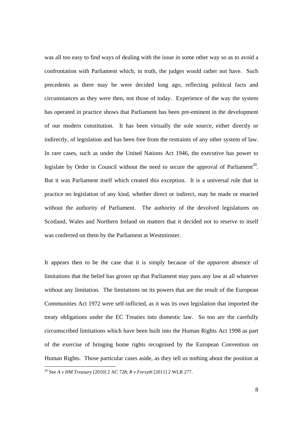was all too easy to find ways of dealing with the issue in some other way so as to avoid a confrontation with Parliament which, in truth, the judges would rather not have. Such precedents as there may be were decided long ago, reflecting political facts and circumstances as they were then, not those of today. Experience of the way the system has operated in practice shows that Parliament has been pre-eminent in the development of our modern constitution. It has been virtually the sole source, either directly or indirectly, of legislation and has been free from the restraints of any other system of law. In rare cases, such as under the United Nations Act 1946, the executive has power to legislate by Order in Council without the need to secure the approval of Parliament<sup>20</sup>. But it was Parliament itself which created this exception. It is a universal rule that in practice no legislation of any kind, whether direct or indirect, may be made or enacted without the authority of Parliament. The authority of the devolved legislatures on Scotland, Wales and Northern Ireland on matters that it decided not to reserve to itself was conferred on them by the Parliament at Westminster.

It appears then to be the case that it is simply because of the *apparent* absence of limitations that the belief has grown up that Parliament may pass any law at all whatever without any limitation. The limitations on its powers that are the result of the European Communities Act 1972 were self-inflicted, as it was its own legislation that imported the treaty obligations under the EC Treaties into domestic law. So too are the carefully circumscribed limitations which have been built into the Human Rights Act 1998 as part of the exercise of bringing home rights recognised by the European Convention on Human Rights. Those particular cases aside, as they tell us nothing about the position at  $\overline{a}$ 

<sup>20</sup> See *A v HM Treasury* [2010] 2 AC 728; *R v Forsyth* [2011] 2 WLR 277.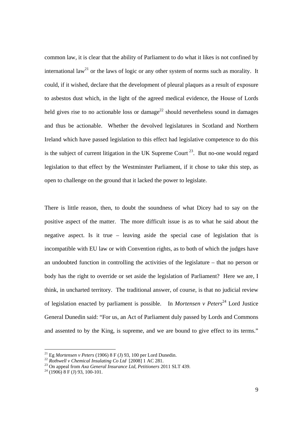common law, it is clear that the ability of Parliament to do what it likes is not confined by international law<sup>21</sup> or the laws of logic or any other system of norms such as morality. It could, if it wished, declare that the development of pleural plaques as a result of exposure to asbestos dust which, in the light of the agreed medical evidence, the House of Lords held gives rise to no actionable loss or damage<sup>22</sup> should nevertheless sound in damages and thus be actionable. Whether the devolved legislatures in Scotland and Northern Ireland which have passed legislation to this effect had legislative competence to do this is the subject of current litigation in the UK Supreme Court<sup>23</sup>. But no-one would regard legislation to that effect by the Westminster Parliament, if it chose to take this step, as open to challenge on the ground that it lacked the power to legislate.

There is little reason, then, to doubt the soundness of what Dicey had to say on the positive aspect of the matter. The more difficult issue is as to what he said about the negative aspect. Is it true – leaving aside the special case of legislation that is incompatible with EU law or with Convention rights, as to both of which the judges have an undoubted function in controlling the activities of the legislature – that no person or body has the right to override or set aside the legislation of Parliament? Here we are, I think, in uncharted territory. The traditional answer, of course, is that no judicial review of legislation enacted by parliament is possible. In *Mortensen v Peters*<sup>24</sup> Lord Justice General Dunedin said: "For us, an Act of Parliament duly passed by Lords and Commons and assented to by the King, is supreme, and we are bound to give effect to its terms."

<sup>&</sup>lt;sup>21</sup> Eg *Mortensen v Peters* (1906) 8 F (J) 93, 100 per Lord Dunedin.<br><sup>22</sup> *Rothwell v Chemical Insulating Co Ltd* [2008] 1 AC 281.<br><sup>23</sup> On appeal from Axa General Insurance Ltd, Petitioners 2011 SLT 439.<br><sup>24</sup> (1906) 8 F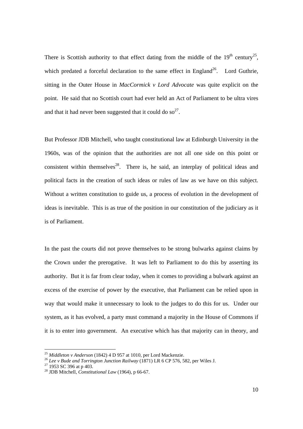There is Scottish authority to that effect dating from the middle of the  $19<sup>th</sup>$  century<sup>25</sup>, which predated a forceful declaration to the same effect in England<sup>26</sup>. Lord Guthrie, sitting in the Outer House in *MacCormick v Lord Advocate* was quite explicit on the point. He said that no Scottish court had ever held an Act of Parliament to be ultra vires and that it had never been suggested that it could do so<sup>27</sup>.

But Professor JDB Mitchell, who taught constitutional law at Edinburgh University in the 1960s, was of the opinion that the authorities are not all one side on this point or consistent within themselves<sup>28</sup>. There is, he said, an interplay of political ideas and political facts in the creation of such ideas or rules of law as we have on this subject. Without a written constitution to guide us, a process of evolution in the development of ideas is inevitable. This is as true of the position in our constitution of the judiciary as it is of Parliament.

In the past the courts did not prove themselves to be strong bulwarks against claims by the Crown under the prerogative. It was left to Parliament to do this by asserting its authority. But it is far from clear today, when it comes to providing a bulwark against an excess of the exercise of power by the executive, that Parliament can be relied upon in way that would make it unnecessary to look to the judges to do this for us. Under our system, as it has evolved, a party must command a majority in the House of Commons if it is to enter into government. An executive which has that majority can in theory, and

<sup>&</sup>lt;sup>25</sup> *Middleton v Anderson* (1842) 4 D 957 at 1010, per Lord Mackenzie.<br><sup>26</sup> *Lee v Bude and Torrington Junction Railway* (1871) LR 6 CP 576, 582, per Wiles J.<br><sup>27</sup> 1953 SC 396 at p 403.

<sup>28</sup> JDB Mitchell, *Constitutional Law* (1964), p 66-67.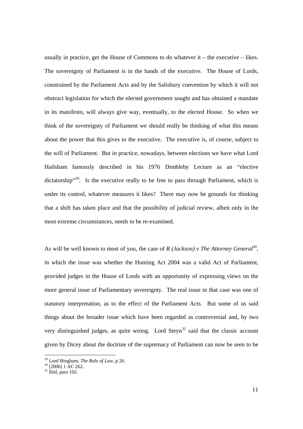usually in practice, get the House of Commons to do whatever it – the executive – likes. The sovereignty of Parliament is in the hands of the executive. The House of Lords, constrained by the Parliament Acts and by the Salisbury convention by which it will not obstruct legislation for which the elected government sought and has obtained a mandate in its manifesto, will always give way, eventually, to the elected House. So when we think of the sovereignty of Parliament we should really be thinking of what this means about the power that this gives to the executive. The executive is, of course, subject to the will of Parliament. But in practice, nowadays, between elections we have what Lord Hailsham famously described in his 1976 Dimbleby Lecture as an "elective dictatorship<sup>"29</sup>. Is the executive really to be free to pass through Parliament, which is under its control, whatever measures it likes? There may now be grounds for thinking that a shift has taken place and that the possibility of judicial review, albeit only in the most extreme circumstances, needs to be re-examined.

As will be well known to most of you, the case of *R* (*Jackson*) v The Attorney General<sup>30</sup>, in which the issue was whether the Hunting Act 2004 was a valid Act of Parliament, provided judges in the House of Lords with an opportunity of expressing views on the more general issue of Parliamentary sovereignty. The real issue in that case was one of statutory interpretation, as to the effect of the Parliament Acts. But some of us said things about the broader issue which have been regarded as controversial and, by two very distinguished judges, as quite wrong. Lord  $Steyn<sup>31</sup>$  said that the classic account given by Dicey about the doctrine of the supremacy of Parliament can now be seen to be

<sup>&</sup>lt;sup>29</sup> Lord Bingham, *The Rule of Law*, p 26.<br><sup>30</sup> [2006] 1 AC 262.

 $31$  Ibid, para 102.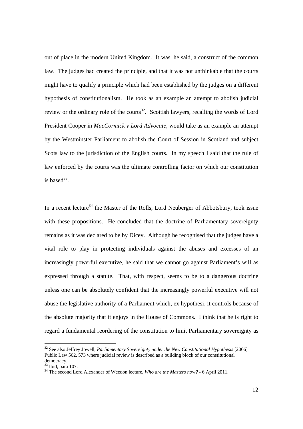out of place in the modern United Kingdom. It was, he said, a construct of the common law. The judges had created the principle, and that it was not unthinkable that the courts might have to qualify a principle which had been established by the judges on a different hypothesis of constitutionalism. He took as an example an attempt to abolish judicial review or the ordinary role of the courts<sup>32</sup>. Scottish lawyers, recalling the words of Lord President Cooper in *MacCormick v Lord Advocate*, would take as an example an attempt by the Westminster Parliament to abolish the Court of Session in Scotland and subject Scots law to the jurisdiction of the English courts. In my speech I said that the rule of law enforced by the courts was the ultimate controlling factor on which our constitution is base $d^{33}$ .

In a recent lecture<sup>34</sup> the Master of the Rolls, Lord Neuberger of Abbotsbury, took issue with these propositions. He concluded that the doctrine of Parliamentary sovereignty remains as it was declared to be by Dicey. Although he recognised that the judges have a vital role to play in protecting individuals against the abuses and excesses of an increasingly powerful executive, he said that we cannot go against Parliament's will as expressed through a statute. That, with respect, seems to be to a dangerous doctrine unless one can be absolutely confident that the increasingly powerful executive will not abuse the legislative authority of a Parliament which, ex hypothesi, it controls because of the absolute majority that it enjoys in the House of Commons. I think that he is right to regard a fundamental reordering of the constitution to limit Parliamentary sovereignty as

33 Ibid, para 107.

<sup>&</sup>lt;sup>32</sup> See also Jeffrey Jowell, *Parliamentary Sovereignty under the New Constitutional Hypothesis* [2006] Public Law 562, 573 where judicial review is described as a building block of our constitutional democracy.

<sup>34</sup> The second Lord Alexander of Weedon lecture, *Who are the Masters now?* - 6 April 2011.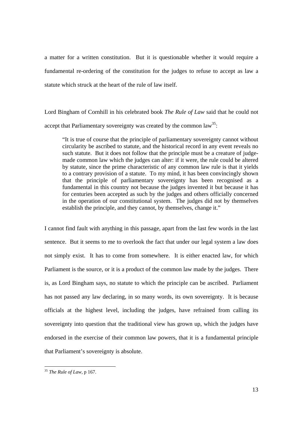a matter for a written constitution. But it is questionable whether it would require a fundamental re-ordering of the constitution for the judges to refuse to accept as law a statute which struck at the heart of the rule of law itself.

Lord Bingham of Cornhill in his celebrated book *The Rule of Law* said that he could not accept that Parliamentary sovereignty was created by the common  $law^{35}$ :

"It is true of course that the principle of parliamentary sovereignty cannot without circularity be ascribed to statute, and the historical record in any event reveals no such statute. But it does not follow that the principle must be a creature of judgemade common law which the judges can alter: if it were, the rule could be altered by statute, since the prime characteristic of any common law rule is that it yields to a contrary provision of a statute. To my mind, it has been convincingly shown that the principle of parliamentary sovereignty has been recognised as a fundamental in this country not because the judges invented it but because it has for centuries been accepted as such by the judges and others officially concerned in the operation of our constitutional system. The judges did not by themselves establish the principle, and they cannot, by themselves, change it."

I cannot find fault with anything in this passage, apart from the last few words in the last sentence. But it seems to me to overlook the fact that under our legal system a law does not simply exist. It has to come from somewhere. It is either enacted law, for which Parliament is the source, or it is a product of the common law made by the judges. There is, as Lord Bingham says, no statute to which the principle can be ascribed. Parliament has not passed any law declaring, in so many words, its own sovereignty. It is because officials at the highest level, including the judges, have refrained from calling its sovereignty into question that the traditional view has grown up, which the judges have endorsed in the exercise of their common law powers, that it is a fundamental principle that Parliament's sovereignty is absolute.

 $\overline{a}$ <sup>35</sup> *The Rule of Law*, p 167.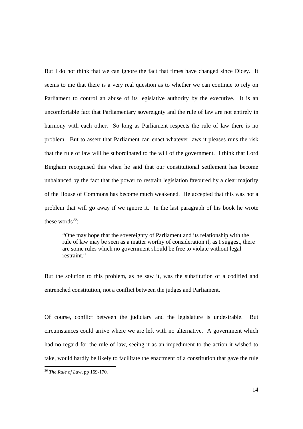But I do not think that we can ignore the fact that times have changed since Dicey. It seems to me that there is a very real question as to whether we can continue to rely on Parliament to control an abuse of its legislative authority by the executive. It is an uncomfortable fact that Parliamentary sovereignty and the rule of law are not entirely in harmony with each other. So long as Parliament respects the rule of law there is no problem. But to assert that Parliament can enact whatever laws it pleases runs the risk that the rule of law will be subordinated to the will of the government. I think that Lord Bingham recognised this when he said that our constitutional settlement has become unbalanced by the fact that the power to restrain legislation favoured by a clear majority of the House of Commons has become much weakened. He accepted that this was not a problem that will go away if we ignore it. In the last paragraph of his book he wrote these words $36$ .

"One may hope that the sovereignty of Parliament and its relationship with the rule of law may be seen as a matter worthy of consideration if, as I suggest, there are some rules which no government should be free to violate without legal restraint."

But the solution to this problem, as he saw it, was the substitution of a codified and entrenched constitution, not a conflict between the judges and Parliament.

Of course, conflict between the judiciary and the legislature is undesirable. But circumstances could arrive where we are left with no alternative. A government which had no regard for the rule of law, seeing it as an impediment to the action it wished to take, would hardly be likely to facilitate the enactment of a constitution that gave the rule

 $\overline{a}$ 

<sup>36</sup> *The Rule of Law*, pp 169-170.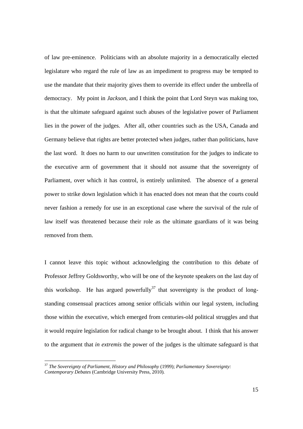of law pre-eminence. Politicians with an absolute majority in a democratically elected legislature who regard the rule of law as an impediment to progress may be tempted to use the mandate that their majority gives them to override its effect under the umbrella of democracy. My point in *Jackson*, and I think the point that Lord Steyn was making too, is that the ultimate safeguard against such abuses of the legislative power of Parliament lies in the power of the judges. After all, other countries such as the USA, Canada and Germany believe that rights are better protected when judges, rather than politicians, have the last word. It does no harm to our unwritten constitution for the judges to indicate to the executive arm of government that it should not assume that the sovereignty of Parliament, over which it has control, is entirely unlimited. The absence of a general power to strike down legislation which it has enacted does not mean that the courts could never fashion a remedy for use in an exceptional case where the survival of the rule of law itself was threatened because their role as the ultimate guardians of it was being removed from them.

I cannot leave this topic without acknowledging the contribution to this debate of Professor Jeffrey Goldsworthy, who will be one of the keynote speakers on the last day of this workshop. He has argued powerfully<sup>37</sup> that sovereignty is the product of longstanding consensual practices among senior officials within our legal system, including those within the executive, which emerged from centuries-old political struggles and that it would require legislation for radical change to be brought about. I think that his answer to the argument that *in extremis* the power of the judges is the ultimate safeguard is that

<sup>37</sup> *The Sovereignty of Parliament, History and Philosophy* (1999); *Parliamentary Sovereignty: Contemporary Debates* (Cambridge University Press, 2010)*.*